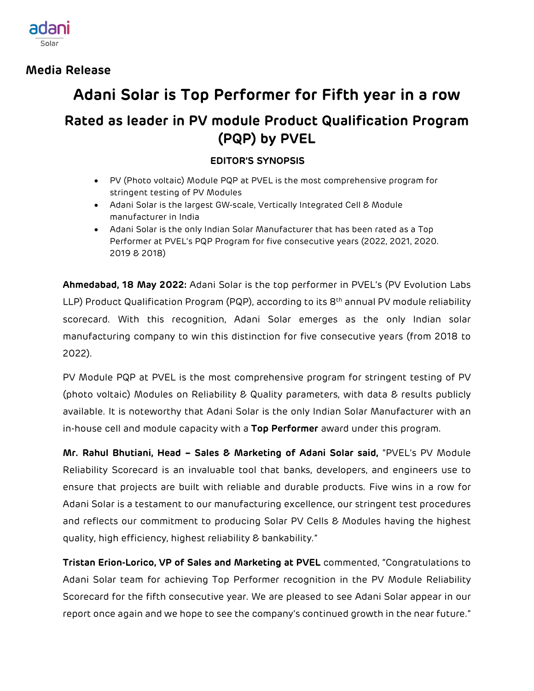

**Media Release**

## **Adani Solar is Top Performer for Fifth year in a row**

## **Rated as leader in PV module Product Qualification Program (PQP) by PVEL**

## **EDITOR'S SYNOPSIS**

- PV (Photo voltaic) Module PQP at PVEL is the most comprehensive program for stringent testing of PV Modules
- Adani Solar is the largest GW-scale, Vertically Integrated Cell & Module manufacturer in India
- Adani Solar is the only Indian Solar Manufacturer that has been rated as a Top Performer at PVEL's PQP Program for five consecutive years (2022, 2021, 2020. 2019 & 2018)

**Ahmedabad, 18 May 2022:** Adani Solar is the top performer in PVEL's (PV Evolution Labs LLP) Product Qualification Program (PQP), according to its 8<sup>th</sup> annual PV module reliability scorecard. With this recognition, Adani Solar emerges as the only Indian solar manufacturing company to win this distinction for five consecutive years (from 2018 to 2022).

PV Module PQP at PVEL is the most comprehensive program for stringent testing of PV (photo voltaic) Modules on Reliability & Quality parameters, with data & results publicly available. It is noteworthy that Adani Solar is the only Indian Solar Manufacturer with an in-house cell and module capacity with a **Top Performer** award under this program.

**Mr. Rahul Bhutiani, Head – Sales & Marketing of Adani Solar said,** "PVEL's PV Module Reliability Scorecard is an invaluable tool that banks, developers, and engineers use to ensure that projects are built with reliable and durable products. Five wins in a row for Adani Solar is a testament to our manufacturing excellence, our stringent test procedures and reflects our commitment to producing Solar PV Cells & Modules having the highest quality, high efficiency, highest reliability & bankability."

**Tristan Erion-Lorico, VP of Sales and Marketing at PVEL** commented, "Congratulations to Adani Solar team for achieving Top Performer recognition in the PV Module Reliability Scorecard for the fifth consecutive year. We are pleased to see Adani Solar appear in our report once again and we hope to see the company's continued growth in the near future."